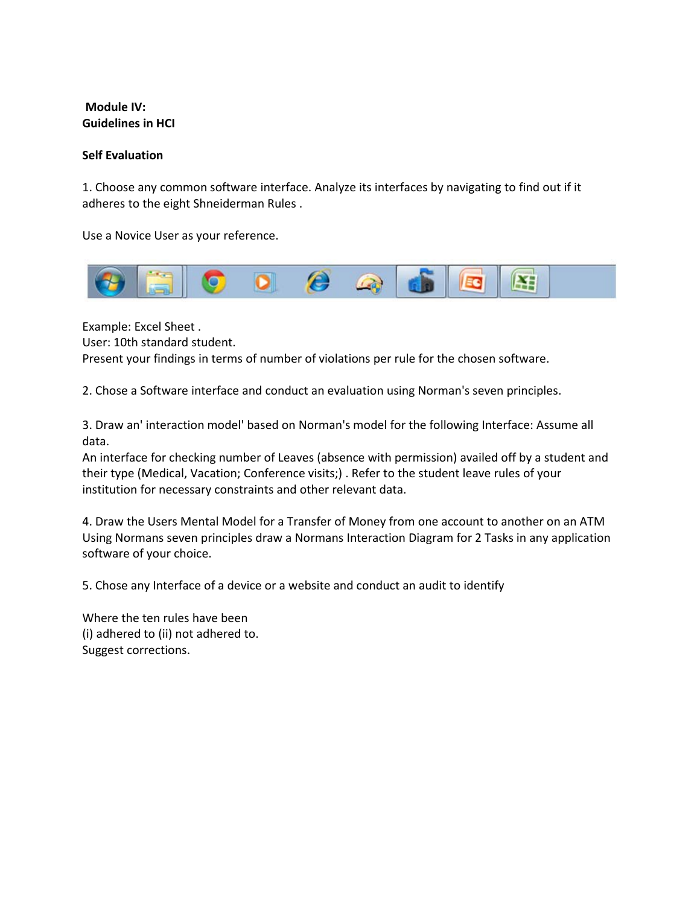## **Module IV: Guidelines in HCI**

## **Self Evaluation**

1. Choose any common software interface. Analyze its interfaces by navigating to find out if it adheres to the eight Shneiderman Rules .

Use a Novice User as your reference.



Example: Excel Sheet . User: 10th standard student. Present your findings in terms of number of violations per rule for the chosen software.

2. Chose a Software interface and conduct an evaluation using Norman's seven principles.

3. Draw an' interaction model' based on Norman's model for the following Interface: Assume all data.

An interface for checking number of Leaves (absence with permission) availed off by a student and their type (Medical, Vacation; Conference visits;) . Refer to the student leave rules of your institution for necessary constraints and other relevant data.

4. Draw the Users Mental Model for a Transfer of Money from one account to another on an ATM Using Normans seven principles draw a Normans Interaction Diagram for 2 Tasks in any application software of your choice.

5. Chose any Interface of a device or a website and conduct an audit to identify

Where the ten rules have been (i) adhered to (ii) not adhered to. Suggest corrections.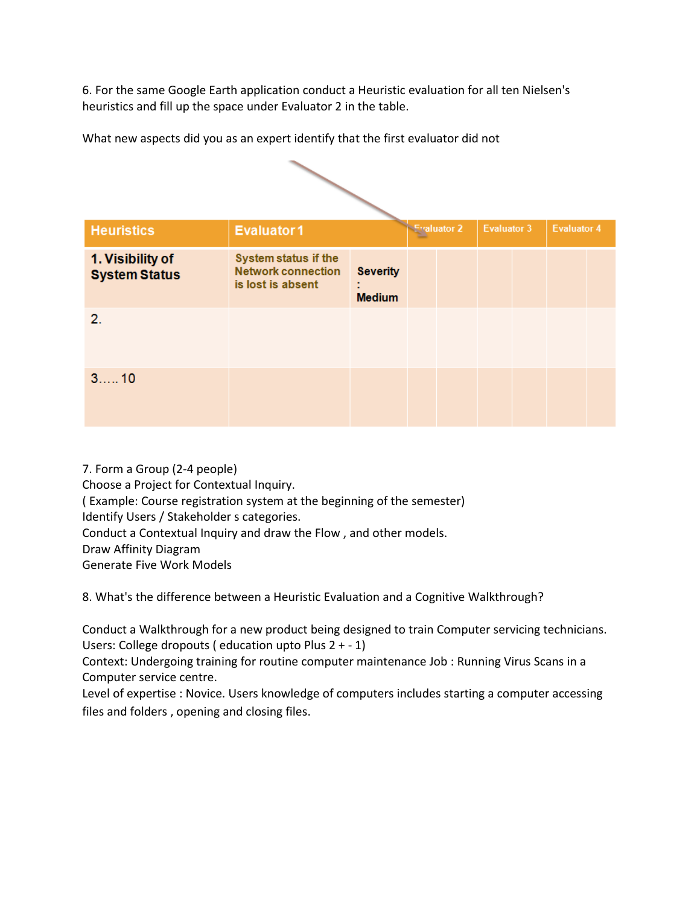6. For the same Google Earth application conduct a Heuristic evaluation for all ten Nielsen's heuristics and fill up the space under Evaluator 2 in the table.

| <b>Heuristics</b>                        | <b>Evaluator1</b>                                                      |                                  |  | <b>Evaluator 2</b> | Evaluator 3 |  | <b>Evaluator 4</b> |  |  |  |  |
|------------------------------------------|------------------------------------------------------------------------|----------------------------------|--|--------------------|-------------|--|--------------------|--|--|--|--|
| 1. Visibility of<br><b>System Status</b> | System status if the<br><b>Network connection</b><br>is lost is absent | <b>Severity</b><br><b>Medium</b> |  |                    |             |  |                    |  |  |  |  |
| 2.                                       |                                                                        |                                  |  |                    |             |  |                    |  |  |  |  |
| 310                                      |                                                                        |                                  |  |                    |             |  |                    |  |  |  |  |

What new aspects did you as an expert identify that the first evaluator did not

7. Form a Group (2-4 people) Choose a Project for Contextual Inquiry. ( Example: Course registration system at the beginning of the semester) Identify Users / Stakeholder s categories. Conduct a Contextual Inquiry and draw the Flow , and other models. Draw Affinity Diagram Generate Five Work Models

8. What's the difference between a Heuristic Evaluation and a Cognitive Walkthrough?

Conduct a Walkthrough for a new product being designed to train Computer servicing technicians. Users: College dropouts ( education upto Plus 2 + - 1)

Context: Undergoing training for routine computer maintenance Job : Running Virus Scans in a Computer service centre.

Level of expertise : Novice. Users knowledge of computers includes starting a computer accessing files and folders , opening and closing files.